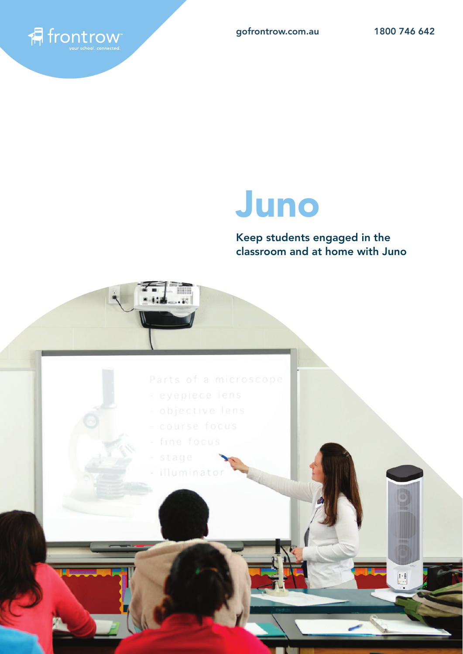

 $\begin{bmatrix} 1 & 0 \\ 0 & 0 \\ 0 & 0 \\ 0 & 0 & 0 \end{bmatrix}$ 

# Juno

Keep students engaged in the classroom and at home with Juno



- 
- 
- 
- fine focus
- 
- illuminato